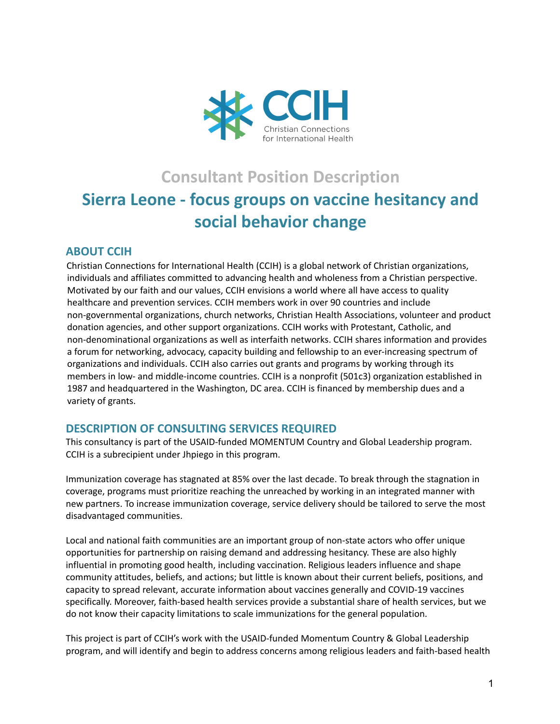

# **Consultant Position Description Sierra Leone - focus groups on vaccine hesitancy and social behavior change**

# **ABOUT CCIH**

Christian Connections for International Health (CCIH) is a global network of Christian organizations, individuals and affiliates committed to advancing health and wholeness from a Christian perspective. Motivated by our faith and our values, CCIH envisions a world where all have access to quality healthcare and prevention services. CCIH members work in over 90 countries and include non-governmental organizations, church networks, Christian Health Associations, volunteer and product donation agencies, and other support organizations. CCIH works with Protestant, Catholic, and non-denominational organizations as well as interfaith networks. CCIH shares information and provides a forum for networking, advocacy, capacity building and fellowship to an ever-increasing spectrum of organizations and individuals. CCIH also carries out grants and programs by working through its members in low- and middle-income countries. CCIH is a nonprofit (501c3) organization established in 1987 and headquartered in the Washington, DC area. CCIH is financed by membership dues and a variety of grants.

# **DESCRIPTION OF CONSULTING SERVICES REQUIRED**

This consultancy is part of the USAID-funded MOMENTUM Country and Global Leadership program. CCIH is a subrecipient under Jhpiego in this program.

Immunization coverage has stagnated at 85% over the last decade. To break through the stagnation in coverage, programs must prioritize reaching the unreached by working in an integrated manner with new partners. To increase immunization coverage, service delivery should be tailored to serve the most disadvantaged communities.

Local and national faith communities are an important group of non-state actors who offer unique opportunities for partnership on raising demand and addressing hesitancy. These are also highly influential in promoting good health, including vaccination. Religious leaders influence and shape community attitudes, beliefs, and actions; but little is known about their current beliefs, positions, and capacity to spread relevant, accurate information about vaccines generally and COVID-19 vaccines specifically. Moreover, faith-based health services provide a substantial share of health services, but we do not know their capacity limitations to scale immunizations for the general population.

This project is part of CCIH's work with the USAID-funded Momentum Country & Global Leadership program, and will identify and begin to address concerns among religious leaders and faith-based health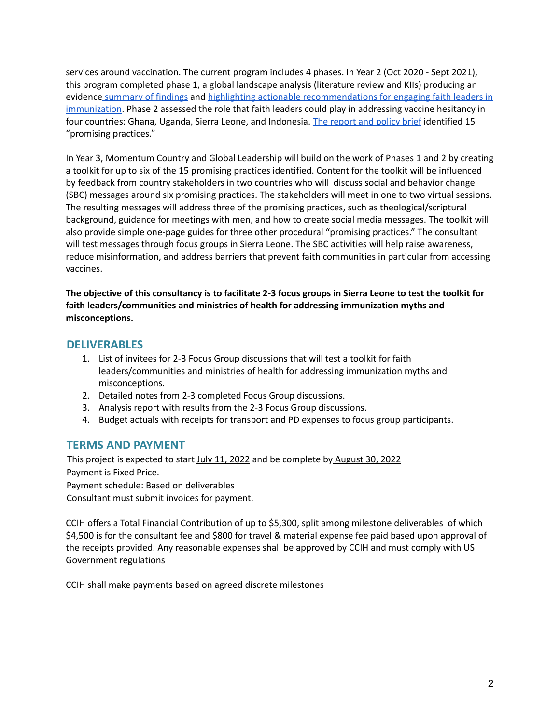services around vaccination. The current program includes 4 phases. In Year 2 (Oct 2020 - Sept 2021), this program completed phase 1, a global landscape analysis (literature review and KIIs) producing an evidence [summary](https://usaidmomentum.org/resource/vaccine-hesitancy-report/) of findings and highlighting actionable [recommendations](https://usaidmomentum.org/resource/engaging-faith-actors-to-boost-immunization-uptake-and-combat-vaccine-hesitancy-evidence-and-promising-practices/) for engaging faith leaders in [immunization](https://usaidmomentum.org/resource/engaging-faith-actors-to-boost-immunization-uptake-and-combat-vaccine-hesitancy-evidence-and-promising-practices/). Phase 2 assessed the role that faith leaders could play in addressing vaccine hesitancy in four countries: Ghana, Uganda, Sierra Leone, and Indonesia. The [report](https://usaidmomentum.org/resource/country-deep-dives-on-faith-engagement-in-covid-19-immunization/) and policy brief identified 15 "promising practices."

In Year 3, Momentum Country and Global Leadership will build on the work of Phases 1 and 2 by creating a toolkit for up to six of the 15 promising practices identified. Content for the toolkit will be influenced by feedback from country stakeholders in two countries who will discuss social and behavior change (SBC) messages around six promising practices. The stakeholders will meet in one to two virtual sessions. The resulting messages will address three of the promising practices, such as theological/scriptural background, guidance for meetings with men, and how to create social media messages. The toolkit will also provide simple one-page guides for three other procedural "promising practices." The consultant will test messages through focus groups in Sierra Leone. The SBC activities will help raise awareness, reduce misinformation, and address barriers that prevent faith communities in particular from accessing vaccines.

The objective of this consultancy is to facilitate 2-3 focus groups in Sierra Leone to test the toolkit for **faith leaders/communities and ministries of health for addressing immunization myths and misconceptions.**

#### **DELIVERABLES**

- 1. List of invitees for 2-3 Focus Group discussions that will test a toolkit for faith leaders/communities and ministries of health for addressing immunization myths and misconceptions.
- 2. Detailed notes from 2-3 completed Focus Group discussions.
- 3. Analysis report with results from the 2-3 Focus Group discussions.
- 4. Budget actuals with receipts for transport and PD expenses to focus group participants.

#### **TERMS AND PAYMENT**

This project is expected to start July 11, 2022 and be complete by August 30, 2022 Payment is Fixed Price. Payment schedule: Based on deliverables Consultant must submit invoices for payment.

CCIH offers a Total Financial Contribution of up to \$5,300, split among milestone deliverables of which \$4,500 is for the consultant fee and \$800 for travel & material expense fee paid based upon approval of the receipts provided. Any reasonable expenses shall be approved by CCIH and must comply with US Government regulations

CCIH shall make payments based on agreed discrete milestones